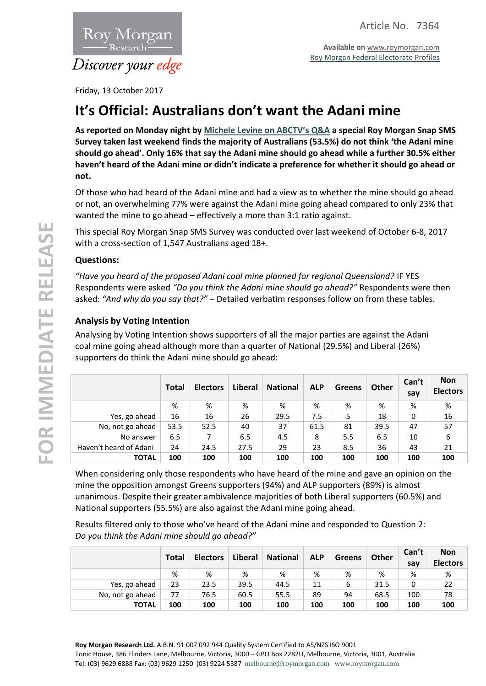

**Available on** [www.roymorgan.com](http://www.roymorgan.com/) [Roy Morgan Federal Electorate Profiles](http://www.roymorganonlinestore.com/Browse/Australia/Economic,-Political-and-Social/Federal-Electorates.aspx)

Friday, 13 October 2017

# **It's Official: Australians don't want the Adani mine**

**As reported on Monday night by [Michele Levine on ABCTV](http://www.abc.net.au/tv/qanda/txt/s4725353.htm)'s Q&A a special Roy Morgan Snap SMS Survey taken last weekend finds the majority of Australians (53.5%) do not think 'the Adani mine should go ahead'. Only 16% that say the Adani mine should go ahead while a further 30.5% either haven't heard of the Adani mine or didn't indicate a preference for whether it should go ahead or not.**

Of those who had heard of the Adani mine and had a view as to whether the mine should go ahead or not, an overwhelming 77% were against the Adani mine going ahead compared to only 23% that wanted the mine to go ahead – effectively a more than 3:1 ratio against.

This special Roy Morgan Snap SMS Survey was conducted over last weekend of October 6-8, 2017 with a cross-section of 1,547 Australians aged 18+.

# **Questions:**

*"Have you heard of the proposed Adani coal mine planned for regional Queensland?* IF YES Respondents were asked *"Do you think the Adani mine should go ahead?"* Respondents were then asked: *"And why do you say that?"* – Detailed verbatim responses follow on from these tables.

# **Analysis by Voting Intention**

Analysing by Voting Intention shows supporters of all the major parties are against the Adani coal mine going ahead although more than a quarter of National (29.5%) and Liberal (26%) supporters do think the Adani mine should go ahead:

|                        | <b>Total</b> | <b>Electors</b> | Liberal | <b>National</b> | <b>ALP</b> | <b>Greens</b> | <b>Other</b> | Can't<br>say | <b>Non</b><br><b>Electors</b> |
|------------------------|--------------|-----------------|---------|-----------------|------------|---------------|--------------|--------------|-------------------------------|
|                        | %            | %               | %       | %               | %          | %             | %            | %            | %                             |
| Yes, go ahead          | 16           | 16              | 26      | 29.5            | 7.5        | 5             | 18           | 0            | 16                            |
| No, not go ahead       | 53.5         | 52.5            | 40      | 37              | 61.5       | 81            | 39.5         | 47           | 57                            |
| No answer              | 6.5          | 7               | 6.5     | 4.5             | 8          | 5.5           | 6.5          | 10           | 6                             |
| Haven't heard of Adani | 24           | 24.5            | 27.5    | 29              | 23         | 8.5           | 36           | 43           | 21                            |
| <b>TOTAL</b>           | 100          | 100             | 100     | 100             | 100        | 100           | 100          | 100          | 100                           |

When considering only those respondents who have heard of the mine and gave an opinion on the mine the opposition amongst Greens supporters (94%) and ALP supporters (89%) is almost unanimous. Despite their greater ambivalence majorities of both Liberal supporters (60.5%) and National supporters (55.5%) are also against the Adani mine going ahead.

Results filtered only to those who've heard of the Adani mine and responded to Question 2: *Do you think the Adani mine should go ahead?"*

|                  | <b>Total</b> | <b>Electors</b> | <b>Liberal</b> | <b>National</b> | <b>ALP</b> | <b>Greens</b> | <b>Other</b> | Can't<br>say | <b>Non</b><br><b>Electors</b> |
|------------------|--------------|-----------------|----------------|-----------------|------------|---------------|--------------|--------------|-------------------------------|
|                  | %            | %               | %              | %               | %          | %             | %            | %            | %                             |
| Yes, go ahead    | 23           | 23.5            | 39.5           | 44.5            | 11         | 6             | 31.5         | 0            | 22                            |
| No, not go ahead | 77           | 76.5            | 60.5           | 55.5            | 89         | 94            | 68.5         | 100          | 78                            |
| <b>TOTAL</b>     | 100          | 100             | 100            | 100             | 100        | 100           | 100          | 100          | 100                           |

**Roy Morgan Research Ltd.** A.B.N. 91 007 092 944 Quality System Certified to AS/NZS ISO 9001 Tonic House, 386 Flinders Lane, Melbourne, Victoria, 3000 – GPO Box 2282U, Melbourne, Victoria, 3001, Australia Tel: (03) 9629 6888 Fax: (03) 9629 1250 (03) 9224 5387 [melbourne@roymorgan.com](mailto:melbourne@roymorgan.com) [www.roymorgan.com](http://www.roymorgan.com/)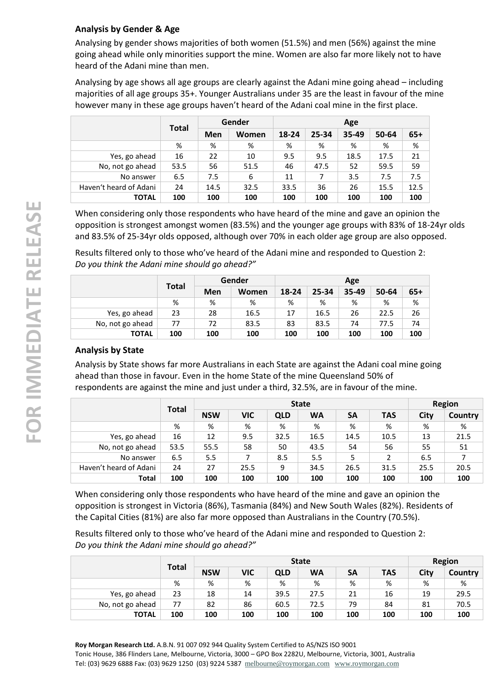# **Analysis by Gender & Age**

Analysing by gender shows majorities of both women (51.5%) and men (56%) against the mine going ahead while only minorities support the mine. Women are also far more likely not to have heard of the Adani mine than men.

Analysing by age shows all age groups are clearly against the Adani mine going ahead – including majorities of all age groups 35+. Younger Australians under 35 are the least in favour of the mine however many in these age groups haven't heard of the Adani coal mine in the first place.

|                        |      | Gender<br><b>Total</b> |       |       | Age   |       |       |       |  |  |
|------------------------|------|------------------------|-------|-------|-------|-------|-------|-------|--|--|
|                        |      | Men                    | Women | 18-24 | 25-34 | 35-49 | 50-64 | $65+$ |  |  |
|                        | %    | %                      | %     | %     | %     | %     | %     | %     |  |  |
| Yes, go ahead          | 16   | 22                     | 10    | 9.5   | 9.5   | 18.5  | 17.5  | 21    |  |  |
| No, not go ahead       | 53.5 | 56                     | 51.5  | 46    | 47.5  | 52    | 59.5  | 59    |  |  |
| No answer              | 6.5  | 7.5                    | 6     | 11    | 7     | 3.5   | 7.5   | 7.5   |  |  |
| Haven't heard of Adani | 24   | 14.5                   | 32.5  | 33.5  | 36    | 26    | 15.5  | 12.5  |  |  |
| <b>TOTAL</b>           | 100  | 100                    | 100   | 100   | 100   | 100   | 100   | 100   |  |  |

When considering only those respondents who have heard of the mine and gave an opinion the opposition is strongest amongst women (83.5%) and the younger age groups with 83% of 18-24yr olds and 83.5% of 25-34yr olds opposed, although over 70% in each older age group are also opposed.

Results filtered only to those who've heard of the Adani mine and responded to Question 2: *Do you think the Adani mine should go ahead?"*

|                  | <b>Total</b> | Gender |       |       | Age   |       |       |       |  |
|------------------|--------------|--------|-------|-------|-------|-------|-------|-------|--|
|                  |              | Men    | Women | 18-24 | 25-34 | 35-49 | 50-64 | $65+$ |  |
|                  | %            | %      | %     | %     | %     | %     | %     | %     |  |
| Yes, go ahead    | 23           | 28     | 16.5  | 17    | 16.5  | 26    | 22.5  | 26    |  |
| No, not go ahead | 77           | 72     | 83.5  | 83    | 83.5  | 74    | 77.5  | 74    |  |
| <b>TOTAL</b>     | 100          | 100    | 100   | 100   | 100   | 100   | 100   | 100   |  |

# **Analysis by State**

Analysis by State shows far more Australians in each State are against the Adani coal mine going ahead than those in favour. Even in the home State of the mine Queensland 50% of respondents are against the mine and just under a third, 32.5%, are in favour of the mine.

|                        | <b>Total</b> | <b>State</b> |            |            |           |           |               | Region |                |
|------------------------|--------------|--------------|------------|------------|-----------|-----------|---------------|--------|----------------|
|                        |              | <b>NSW</b>   | <b>VIC</b> | <b>QLD</b> | <b>WA</b> | <b>SA</b> | <b>TAS</b>    | City   | <b>Country</b> |
|                        | %            | %            | %          | %          | %         | %         | %             | %      | %              |
| Yes, go ahead          | 16           | 12           | 9.5        | 32.5       | 16.5      | 14.5      | 10.5          | 13     | 21.5           |
| No, not go ahead       | 53.5         | 55.5         | 58         | 50         | 43.5      | 54        | 56            | 55     | 51             |
| No answer              | 6.5          | 5.5          | 7          | 8.5        | 5.5       | 5         | $\mathcal{P}$ | 6.5    |                |
| Haven't heard of Adani | 24           | 27           | 25.5       | 9          | 34.5      | 26.5      | 31.5          | 25.5   | 20.5           |
| Total                  | 100          | 100          | 100        | 100        | 100       | 100       | 100           | 100    | 100            |

When considering only those respondents who have heard of the mine and gave an opinion the opposition is strongest in Victoria (86%), Tasmania (84%) and New South Wales (82%). Residents of the Capital Cities (81%) are also far more opposed than Australians in the Country (70.5%).

Results filtered only to those who've heard of the Adani mine and responded to Question 2: *Do you think the Adani mine should go ahead?"*

|                  | <b>Total</b> | <b>State</b> |            |      |           |           | <b>Region</b> |      |         |
|------------------|--------------|--------------|------------|------|-----------|-----------|---------------|------|---------|
|                  |              | <b>NSW</b>   | <b>VIC</b> | QLD  | <b>WA</b> | <b>SA</b> | <b>TAS</b>    | City | Country |
|                  | %            | %            | %          | %    | %         | %         | %             | %    | %       |
| Yes, go ahead    | 23           | 18           | 14         | 39.5 | 27.5      | 21        | 16            | 19   | 29.5    |
| No, not go ahead | 77           | 82           | 86         | 60.5 | 72.5      | 79        | 84            | 81   | 70.5    |
| <b>TOTAL</b>     | 100          | 100          | 100        | 100  | 100       | 100       | 100           | 100  | 100     |

**Roy Morgan Research Ltd.** A.B.N. 91 007 092 944 Quality System Certified to AS/NZS ISO 9001 Tonic House, 386 Flinders Lane, Melbourne, Victoria, 3000 – GPO Box 2282U, Melbourne, Victoria, 3001, Australia Tel: (03) 9629 6888 Fax: (03) 9629 1250 (03) 9224 5387 [melbourne@roymorgan.com](mailto:melbourne@roymorgan.com) [www.roymorgan.com](http://www.roymorgan.com/)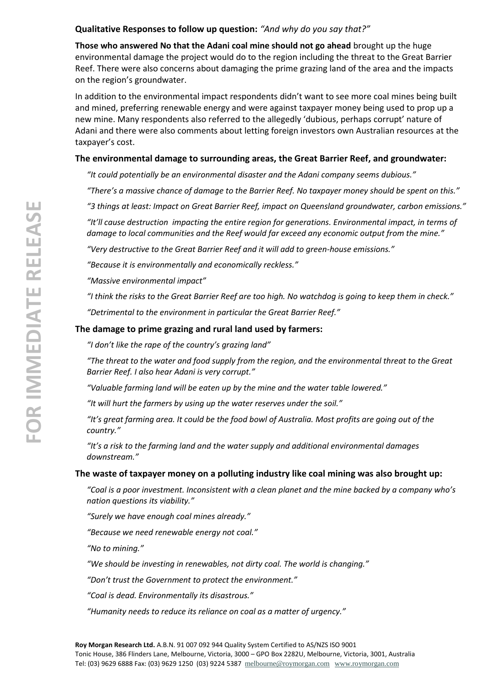## **Qualitative Responses to follow up question:** *"And why do you say that?"*

**Those who answered No that the Adani coal mine should not go ahead** brought up the huge environmental damage the project would do to the region including the threat to the Great Barrier Reef. There were also concerns about damaging the prime grazing land of the area and the impacts on the region's groundwater.

In addition to the environmental impact respondents didn't want to see more coal mines being built and mined, preferring renewable energy and were against taxpayer money being used to prop up a new mine. Many respondents also referred to the allegedly 'dubious, perhaps corrupt' nature of Adani and there were also comments about letting foreign investors own Australian resources at the taxpayer's cost.

#### **The environmental damage to surrounding areas, the Great Barrier Reef, and groundwater:**

*"It could potentially be an environmental disaster and the Adani company seems dubious."*

*"There's a massive chance of damage to the Barrier Reef. No taxpayer money should be spent on this."*

*"3 things at least: Impact on Great Barrier Reef, impact on Queensland groundwater, carbon emissions."*

*"It'll cause destruction impacting the entire region for generations. Environmental impact, in terms of damage to local communities and the Reef would far exceed any economic output from the mine."*

*"Very destructive to the Great Barrier Reef and it will add to green-house emissions."*

*"Because it is environmentally and economically reckless."*

*"Massive environmental impact"*

*"I think the risks to the Great Barrier Reef are too high. No watchdog is going to keep them in check."*

*"Detrimental to the environment in particular the Great Barrier Reef."*

#### **The damage to prime grazing and rural land used by farmers:**

*"I don't like the rape of the country's grazing land"*

*"The threat to the water and food supply from the region, and the environmental threat to the Great Barrier Reef. I also hear Adani is very corrupt."*

*"Valuable farming land will be eaten up by the mine and the water table lowered."*

*"It will hurt the farmers by using up the water reserves under the soil."*

*"It's great farming area. It could be the food bowl of Australia. Most profits are going out of the country."*

*"It's a risk to the farming land and the water supply and additional environmental damages downstream."*

#### **The waste of taxpayer money on a polluting industry like coal mining was also brought up:**

*"Coal is a poor investment. Inconsistent with a clean planet and the mine backed by a company who's nation questions its viability."*

*"Surely we have enough coal mines already."*

*"Because we need renewable energy not coal."*

*"No to mining."*

*"We should be investing in renewables, not dirty coal. The world is changing."*

*"Don't trust the Government to protect the environment."*

*"Coal is dead. Environmentally its disastrous."*

*"Humanity needs to reduce its reliance on coal as a matter of urgency."*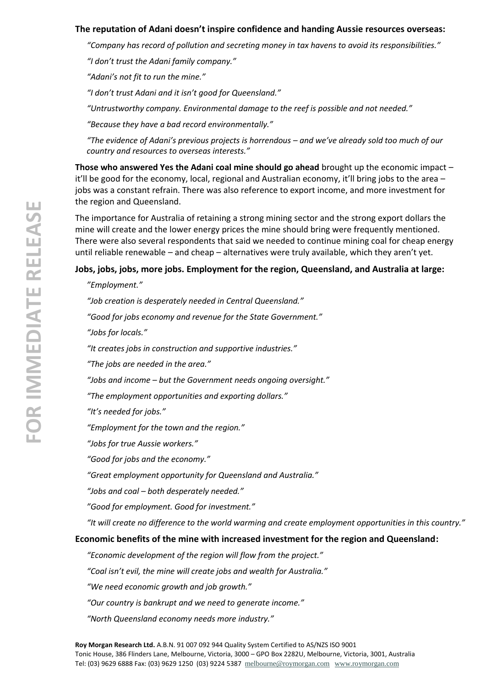#### **The reputation of Adani doesn't inspire confidence and handing Aussie resources overseas:**

*"Company has record of pollution and secreting money in tax havens to avoid its responsibilities."*

*"I don't trust the Adani family company."*

*"Adani's not fit to run the mine."*

*"I don't trust Adani and it isn't good for Queensland."*

*"Untrustworthy company. Environmental damage to the reef is possible and not needed."*

*"Because they have a bad record environmentally."*

*"The evidence of Adani's previous projects is horrendous – and we've already sold too much of our country and resources to overseas interests."*

**Those who answered Yes the Adani coal mine should go ahead** brought up the economic impact – it'll be good for the economy, local, regional and Australian economy, it'll bring jobs to the area – jobs was a constant refrain. There was also reference to export income, and more investment for the region and Queensland.

The importance for Australia of retaining a strong mining sector and the strong export dollars the mine will create and the lower energy prices the mine should bring were frequently mentioned. There were also several respondents that said we needed to continue mining coal for cheap energy until reliable renewable – and cheap – alternatives were truly available, which they aren't yet.

#### **Jobs, jobs, jobs, more jobs. Employment for the region, Queensland, and Australia at large:**

*"Employment."*

*"Job creation is desperately needed in Central Queensland." "Good for jobs economy and revenue for the State Government." "Jobs for locals."*

*"It creates jobs in construction and supportive industries."*

*"The jobs are needed in the area."*

*"Jobs and income – but the Government needs ongoing oversight."*

*"The employment opportunities and exporting dollars."*

*"It's needed for jobs."*

*"Employment for the town and the region."*

*"Jobs for true Aussie workers."*

*"Good for jobs and the economy."*

*"Great employment opportunity for Queensland and Australia."*

*"Jobs and coal – both desperately needed."*

*"Good for employment. Good for investment."*

*"It will create no difference to the world warming and create employment opportunities in this country."*

#### **Economic benefits of the mine with increased investment for the region and Queensland:**

*"Economic development of the region will flow from the project."*

*"Coal isn't evil, the mine will create jobs and wealth for Australia."*

*"We need economic growth and job growth."*

*"Our country is bankrupt and we need to generate income."*

*"North Queensland economy needs more industry."*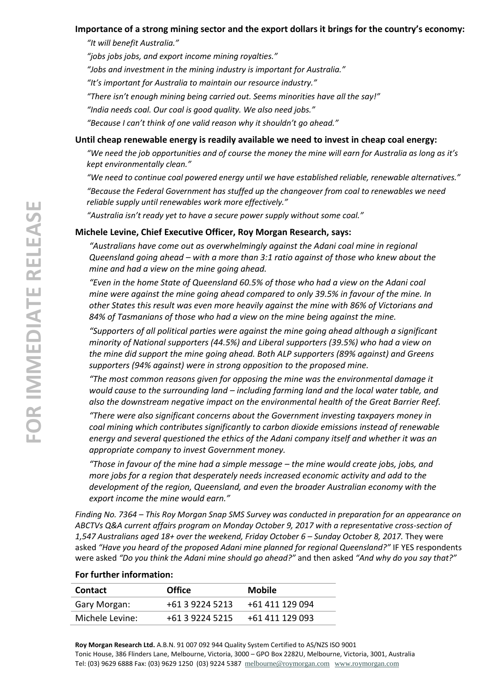#### **Importance of a strong mining sector and the export dollars it brings for the country's economy:**

*"It will benefit Australia."*

*"jobs jobs jobs, and export income mining royalties."*

*"Jobs and investment in the mining industry is important for Australia."*

*"It's important for Australia to maintain our resource industry."*

*"There isn't enough mining being carried out. Seems minorities have all the say!"*

*"India needs coal. Our coal is good quality. We also need jobs."*

*"Because I can't think of one valid reason why it shouldn't go ahead."*

#### **Until cheap renewable energy is readily available we need to invest in cheap coal energy:**

*"We need the job opportunities and of course the money the mine will earn for Australia as long as it's kept environmentally clean."*

*"We need to continue coal powered energy until we have established reliable, renewable alternatives."*

*"Because the Federal Government has stuffed up the changeover from coal to renewables we need reliable supply until renewables work more effectively."*

*"Australia isn't ready yet to have a secure power supply without some coal."*

#### **Michele Levine, Chief Executive Officer, Roy Morgan Research, says:**

*"Australians have come out as overwhelmingly against the Adani coal mine in regional Queensland going ahead – with a more than 3:1 ratio against of those who knew about the mine and had a view on the mine going ahead.*

*"Even in the home State of Queensland 60.5% of those who had a view on the Adani coal mine were against the mine going ahead compared to only 39.5% in favour of the mine. In other States this result was even more heavily against the mine with 86% of Victorians and 84% of Tasmanians of those who had a view on the mine being against the mine.*

*"Supporters of all political parties were against the mine going ahead although a significant minority of National supporters (44.5%) and Liberal supporters (39.5%) who had a view on the mine did support the mine going ahead. Both ALP supporters (89% against) and Greens supporters (94% against) were in strong opposition to the proposed mine.*

*"The most common reasons given for opposing the mine was the environmental damage it would cause to the surrounding land – including farming land and the local water table, and also the downstream negative impact on the environmental health of the Great Barrier Reef.*

*"There were also significant concerns about the Government investing taxpayers money in coal mining which contributes significantly to carbon dioxide emissions instead of renewable energy and several questioned the ethics of the Adani company itself and whether it was an appropriate company to invest Government money.*

*"Those in favour of the mine had a simple message – the mine would create jobs, jobs, and more jobs for a region that desperately needs increased economic activity and add to the development of the region, Queensland, and even the broader Australian economy with the export income the mine would earn."*

*Finding No. 7364 – This Roy Morgan Snap SMS Survey was conducted in preparation for an appearance on ABCTVs Q&A current affairs program on Monday October 9, 2017 with a representative cross-section of 1,547 Australians aged 18+ over the weekend, Friday October 6 – Sunday October 8, 2017.* They were asked *"Have you heard of the proposed Adani mine planned for regional Queensland?"* IF YES respondents were asked *"Do you think the Adani mine should go ahead?"* and then asked *"And why do you say that?"*

#### **For further information:**

| <b>Contact</b>  | <b>Office</b>   | <b>Mobile</b>   |
|-----------------|-----------------|-----------------|
| Gary Morgan:    | +61 3 9224 5213 | +61 411 129 094 |
| Michele Levine: | +61 3 9224 5215 | +61 411 129 093 |

**Roy Morgan Research Ltd.** A.B.N. 91 007 092 944 Quality System Certified to AS/NZS ISO 9001 Tonic House, 386 Flinders Lane, Melbourne, Victoria, 3000 – GPO Box 2282U, Melbourne, Victoria, 3001, Australia Tel: (03) 9629 6888 Fax: (03) 9629 1250 (03) 9224 5387 [melbourne@roymorgan.com](mailto:melbourne@roymorgan.com) [www.roymorgan.com](http://www.roymorgan.com/)